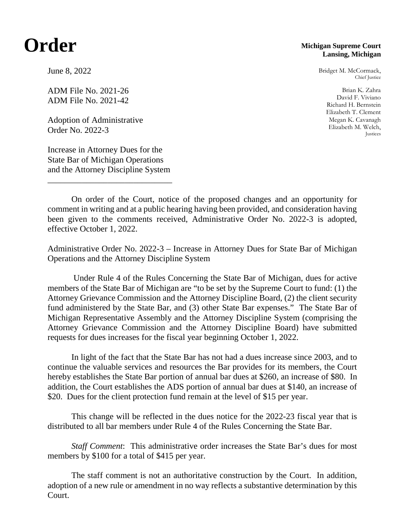## **Order**

## **Michigan Supreme Court Lansing, Michigan**

Bridget M. McCormack, Chief Justice

Brian K. Zahra David F. Viviano Richard H. Bernstein Elizabeth T. Clement Megan K. Cavanagh Elizabeth M. Welch, Justices

June 8, 2022

ADM File No. 2021-26 ADM File No. 2021-42

Adoption of Administrative Order No. 2022-3

Increase in Attorney Dues for the State Bar of Michigan Operations and the Attorney Discipline System

\_\_\_\_\_\_\_\_\_\_\_\_\_\_\_\_\_\_\_\_\_\_\_\_\_\_\_\_\_

On order of the Court, notice of the proposed changes and an opportunity for comment in writing and at a public hearing having been provided, and consideration having been given to the comments received, Administrative Order No. 2022-3 is adopted, effective October 1, 2022.

Administrative Order No. 2022-3 – Increase in Attorney Dues for State Bar of Michigan Operations and the Attorney Discipline System

Under Rule 4 of the Rules Concerning the State Bar of Michigan, dues for active members of the State Bar of Michigan are "to be set by the Supreme Court to fund: (1) the Attorney Grievance Commission and the Attorney Discipline Board, (2) the client security fund administered by the State Bar, and (3) other State Bar expenses." The State Bar of Michigan Representative Assembly and the Attorney Discipline System (comprising the Attorney Grievance Commission and the Attorney Discipline Board) have submitted requests for dues increases for the fiscal year beginning October 1, 2022.

In light of the fact that the State Bar has not had a dues increase since 2003, and to continue the valuable services and resources the Bar provides for its members, the Court hereby establishes the State Bar portion of annual bar dues at \$260, an increase of \$80. In addition, the Court establishes the ADS portion of annual bar dues at \$140, an increase of \$20. Dues for the client protection fund remain at the level of \$15 per year.

This change will be reflected in the dues notice for the 2022-23 fiscal year that is distributed to all bar members under Rule 4 of the Rules Concerning the State Bar.

*Staff Comment*: This administrative order increases the State Bar's dues for most members by \$100 for a total of \$415 per year.

The staff comment is not an authoritative construction by the Court. In addition, adoption of a new rule or amendment in no way reflects a substantive determination by this Court.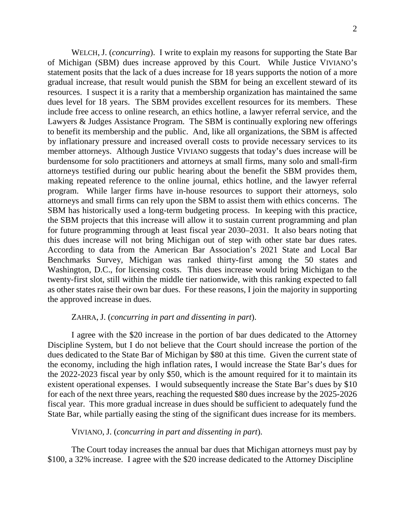WELCH, J. (*concurring*). I write to explain my reasons for supporting the State Bar of Michigan (SBM) dues increase approved by this Court. While Justice VIVIANO's statement posits that the lack of a dues increase for 18 years supports the notion of a more gradual increase, that result would punish the SBM for being an excellent steward of its resources. I suspect it is a rarity that a membership organization has maintained the same dues level for 18 years. The SBM provides excellent resources for its members. These include free access to online research, an ethics hotline, a lawyer referral service, and the Lawyers & Judges Assistance Program. The SBM is continually exploring new offerings to benefit its membership and the public. And, like all organizations, the SBM is affected by inflationary pressure and increased overall costs to provide necessary services to its member attorneys. Although Justice VIVIANO suggests that today's dues increase will be burdensome for solo practitioners and attorneys at small firms, many solo and small-firm attorneys testified during our public hearing about the benefit the SBM provides them, making repeated reference to the online journal, ethics hotline, and the lawyer referral program. While larger firms have in-house resources to support their attorneys, solo attorneys and small firms can rely upon the SBM to assist them with ethics concerns. The SBM has historically used a long-term budgeting process. In keeping with this practice, the SBM projects that this increase will allow it to sustain current programming and plan for future programming through at least fiscal year 2030–2031. It also bears noting that this dues increase will not bring Michigan out of step with other state bar dues rates. According to data from the American Bar Association's 2021 State and Local Bar Benchmarks Survey, Michigan was ranked thirty-first among the 50 states and Washington, D.C., for licensing costs. This dues increase would bring Michigan to the twenty-first slot, still within the middle tier nationwide, with this ranking expected to fall as other states raise their own bar dues. For these reasons, I join the majority in supporting the approved increase in dues.

## ZAHRA, J. (*concurring in part and dissenting in part*).

I agree with the \$20 increase in the portion of bar dues dedicated to the Attorney Discipline System, but I do not believe that the Court should increase the portion of the dues dedicated to the State Bar of Michigan by \$80 at this time. Given the current state of the economy, including the high inflation rates, I would increase the State Bar's dues for the 2022-2023 fiscal year by only \$50, which is the amount required for it to maintain its existent operational expenses. I would subsequently increase the State Bar's dues by \$10 for each of the next three years, reaching the requested \$80 dues increase by the 2025-2026 fiscal year. This more gradual increase in dues should be sufficient to adequately fund the State Bar, while partially easing the sting of the significant dues increase for its members.

## VIVIANO, J. (*concurring in part and dissenting in part*).

The Court today increases the annual bar dues that Michigan attorneys must pay by \$100, a 32% increase. I agree with the \$20 increase dedicated to the Attorney Discipline